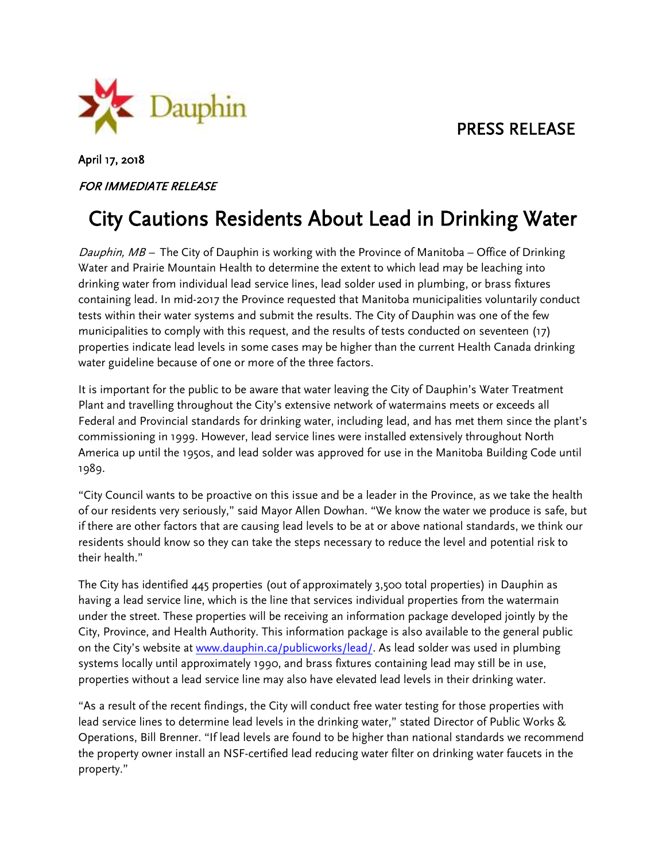PRESS RELEASE



## April 17, 2018

## FOR IMMEDIATE RELEASE

## City Cautions Residents About Lead in Drinking Water

Dauphin,  $MB$  – The City of Dauphin is working with the Province of Manitoba – Office of Drinking Water and Prairie Mountain Health to determine the extent to which lead may be leaching into drinking water from individual lead service lines, lead solder used in plumbing, or brass fixtures containing lead. In mid-2017 the Province requested that Manitoba municipalities voluntarily conduct tests within their water systems and submit the results. The City of Dauphin was one of the few municipalities to comply with this request, and the results of tests conducted on seventeen (17) properties indicate lead levels in some cases may be higher than the current Health Canada drinking water guideline because of one or more of the three factors.

It is important for the public to be aware that water leaving the City of Dauphin's Water Treatment Plant and travelling throughout the City's extensive network of watermains meets or exceeds all Federal and Provincial standards for drinking water, including lead, and has met them since the plant's commissioning in 1999. However, lead service lines were installed extensively throughout North America up until the 1950s, and lead solder was approved for use in the Manitoba Building Code until 1989.

"City Council wants to be proactive on this issue and be a leader in the Province, as we take the health of our residents very seriously," said Mayor Allen Dowhan. "We know the water we produce is safe, but if there are other factors that are causing lead levels to be at or above national standards, we think our residents should know so they can take the steps necessary to reduce the level and potential risk to their health."

The City has identified 445 properties (out of approximately 3,500 total properties) in Dauphin as having a lead service line, which is the line that services individual properties from the watermain under the street. These properties will be receiving an information package developed jointly by the City, Province, and Health Authority. This information package is also available to the general public on the City's website at [www.dauphin.ca/publicworks/lead/.](http://www.dauphin.ca/publicworks/lead/) As lead solder was used in plumbing systems locally until approximately 1990, and brass fixtures containing lead may still be in use, properties without a lead service line may also have elevated lead levels in their drinking water.

"As a result of the recent findings, the City will conduct free water testing for those properties with lead service lines to determine lead levels in the drinking water," stated Director of Public Works & Operations, Bill Brenner. "If lead levels are found to be higher than national standards we recommend the property owner install an NSF-certified lead reducing water filter on drinking water faucets in the property."